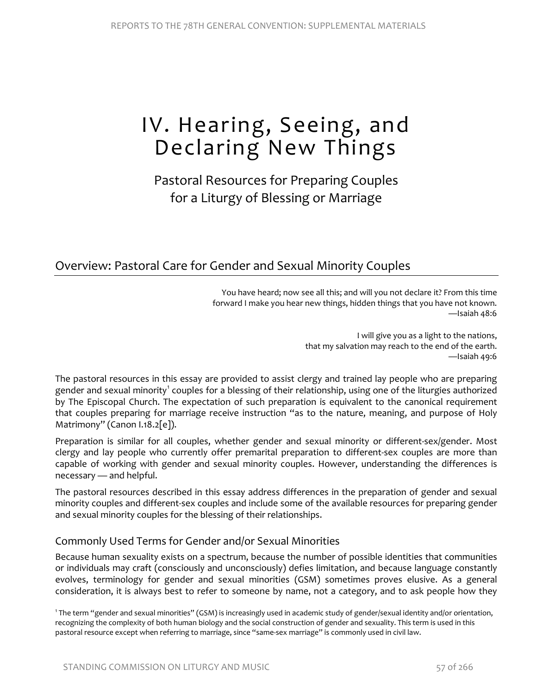# IV. Hearing, Seeing, and Declaring New Things

## Pastoral Resources for Preparing Couples for a Liturgy of Blessing or Marriage

## Overview: Pastoral Care for Gender and Sexual Minority Couples

You have heard; now see all this; and will you not declare it? From this time forward I make you hear new things, hidden things that you have not known. —Isaiah 48:6

> I will give you as a light to the nations, that my salvation may reach to the end of the earth. —Isaiah 49:6

The pastoral resources in this essay are provided to assist clergy and trained lay people who are preparing gender and sexual minority<sup>[1](#page-0-0)</sup> couples for a blessing of their relationship, using one of the liturgies authorized by The Episcopal Church. The expectation of such preparation is equivalent to the canonical requirement that couples preparing for marriage receive instruction "as to the nature, meaning, and purpose of Holy Matrimony" (Canon I.18.2[e]).

Preparation is similar for all couples, whether gender and sexual minority or different-sex/gender. Most clergy and lay people who currently offer premarital preparation to different-sex couples are more than capable of working with gender and sexual minority couples. However, understanding the differences is necessary — and helpful.

The pastoral resources described in this essay address differences in the preparation of gender and sexual minority couples and different-sex couples and include some of the available resources for preparing gender and sexual minority couples for the blessing of their relationships.

### Commonly Used Terms for Gender and/or Sexual Minorities

Because human sexuality exists on a spectrum, because the number of possible identities that communities or individuals may craft (consciously and unconsciously) defies limitation, and because language constantly evolves, terminology for gender and sexual minorities (GSM) sometimes proves elusive. As a general consideration, it is always best to refer to someone by name, not a category, and to ask people how they

<span id="page-0-0"></span><sup>1</sup> The term "gender and sexual minorities" (GSM) is increasingly used in academic study of gender/sexual identity and/or orientation, recognizing the complexity of both human biology and the social construction of gender and sexuality. This term is used in this pastoral resource except when referring to marriage, since "same-sex marriage" is commonly used in civil law.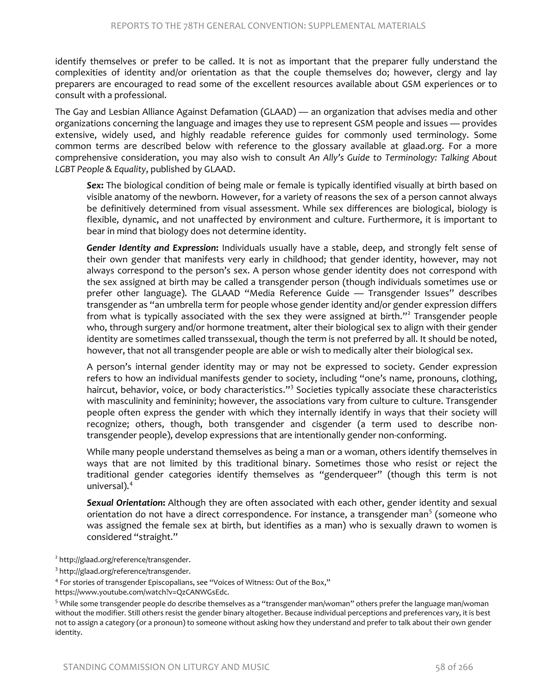identify themselves or prefer to be called. It is not as important that the preparer fully understand the complexities of identity and/or orientation as that the couple themselves do; however, clergy and lay preparers are encouraged to read some of the excellent resources available about GSM experiences or to consult with a professional.

The Gay and Lesbian Alliance Against Defamation (GLAAD) — an organization that advises media and other organizations concerning the language and images they use to represent GSM people and issues — provides extensive, widely used, and highly readable reference guides for commonly used terminology. Some common terms are described below with reference to the glossary available at glaad.org. For a more comprehensive consideration, you may also wish to consult *An Ally's Guide to Terminology: Talking About LGBT People & Equality*, published by GLAAD.

*Sex***:** The biological condition of being male or female is typically identified visually at birth based on visible anatomy of the newborn. However, for a variety of reasons the sex of a person cannot always be definitively determined from visual assessment. While sex differences are biological, biology is flexible, dynamic, and not unaffected by environment and culture. Furthermore, it is important to bear in mind that biology does not determine identity.

*Gender Identity and Expression***:** Individuals usually have a stable, deep, and strongly felt sense of their own gender that manifests very early in childhood; that gender identity, however, may not always correspond to the person's sex. A person whose gender identity does not correspond with the sex assigned at birth may be called a transgender person (though individuals sometimes use or prefer other language). The GLAAD "Media Reference Guide — Transgender Issues" describes transgender as "an umbrella term for people whose gender identity and/or gender expression differs from what is typically associated with the sex they were assigned at birth."<sup>[2](#page-1-0)</sup> Transgender people who, through surgery and/or hormone treatment, alter their biological sex to align with their gender identity are sometimes called transsexual, though the term is not preferred by all. It should be noted, however, that not all transgender people are able or wish to medically alter their biological sex.

A person's internal gender identity may or may not be expressed to society. Gender expression refers to how an individual manifests gender to society, including "one's name, pronouns, clothing, haircut, behavior, voice, or body characteristics."<sup>[3](#page-1-1)</sup> Societies typically associate these characteristics with masculinity and femininity; however, the associations vary from culture to culture. Transgender people often express the gender with which they internally identify in ways that their society will recognize; others, though, both transgender and cisgender (a term used to describe nontransgender people), develop expressions that are intentionally gender non-conforming.

While many people understand themselves as being a man or a woman, others identify themselves in ways that are not limited by this traditional binary. Sometimes those who resist or reject the traditional gender categories identify themselves as "genderqueer" (though this term is not universal).[4](#page-1-2)

*Sexual Orientation***:** Although they are often associated with each other, gender identity and sexual orientation do not have a direct correspondence. For instance, a transgender man<sup>[5](#page-1-3)</sup> (someone who was assigned the female sex at birth, but identifies as a man) who is sexually drawn to women is considered "straight."

<span id="page-1-0"></span><sup>&</sup>lt;sup>2</sup> http://glaad.org/reference/transgender.

<span id="page-1-1"></span><sup>&</sup>lt;sup>3</sup> http://glaad.org/reference/transgender.

<span id="page-1-2"></span><sup>4</sup> For stories of transgender Episcopalians, see "Voices of Witness: Out of the Box,"

https://www.youtube.com/watch?v=QzCANWGsEdc.

<span id="page-1-3"></span><sup>5</sup> While some transgender people do describe themselves as a "transgender man/woman" others prefer the language man/woman without the modifier. Still others resist the gender binary altogether. Because individual perceptions and preferences vary, it is best not to assign a category (or a pronoun) to someone without asking how they understand and prefer to talk about their own gender identity.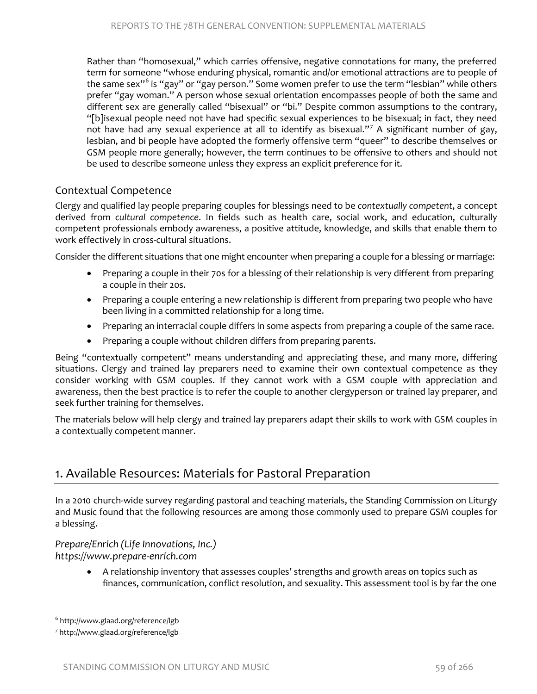Rather than "homosexual," which carries offensive, negative connotations for many, the preferred term for someone "whose enduring physical, romantic and/or emotional attractions are to people of the same sex"<sup>[6](#page-2-0)</sup> is "gay" or "gay person." Some women prefer to use the term "lesbian" while others prefer "gay woman." A person whose sexual orientation encompasses people of both the same and different sex are generally called "bisexual" or "bi." Despite common assumptions to the contrary, "[b]isexual people need not have had specific sexual experiences to be bisexual; in fact, they need not have had any sexual experience at all to identify as bisexual."<sup>[7](#page-2-1)</sup> A significant number of gay, lesbian, and bi people have adopted the formerly offensive term "queer" to describe themselves or GSM people more generally; however, the term continues to be offensive to others and should not be used to describe someone unless they express an explicit preference for it.

#### Contextual Competence

Clergy and qualified lay people preparing couples for blessings need to be *contextually competent*, a concept derived from *cultural competence*. In fields such as health care, social work, and education, culturally competent professionals embody awareness, a positive attitude, knowledge, and skills that enable them to work effectively in cross-cultural situations.

Consider the different situations that one might encounter when preparing a couple for a blessing or marriage:

- Preparing a couple in their 70s for a blessing of their relationship is very different from preparing a couple in their 20s.
- Preparing a couple entering a new relationship is different from preparing two people who have been living in a committed relationship for a long time.
- Preparing an interracial couple differs in some aspects from preparing a couple of the same race.
- Preparing a couple without children differs from preparing parents.

Being "contextually competent" means understanding and appreciating these, and many more, differing situations. Clergy and trained lay preparers need to examine their own contextual competence as they consider working with GSM couples. If they cannot work with a GSM couple with appreciation and awareness, then the best practice is to refer the couple to another clergyperson or trained lay preparer, and seek further training for themselves.

The materials below will help clergy and trained lay preparers adapt their skills to work with GSM couples in a contextually competent manner.

## 1. Available Resources: Materials for Pastoral Preparation

In a 2010 church-wide survey regarding pastoral and teaching materials, the Standing Commission on Liturgy and Music found that the following resources are among those commonly used to prepare GSM couples for a blessing.

#### *Prepare/Enrich (Life Innovations, Inc.) [https://www.prepare-enrich.com](https://www.prepare-enrich.com/)*

• A relationship inventory that assesses couples' strengths and growth areas on topics such as finances, communication, conflict resolution, and sexuality. This assessment tool is by far the one

<span id="page-2-0"></span><sup>6</sup> http://www.glaad.org/reference/lgb

<span id="page-2-1"></span><sup>7</sup> http://www.glaad.org/reference/lgb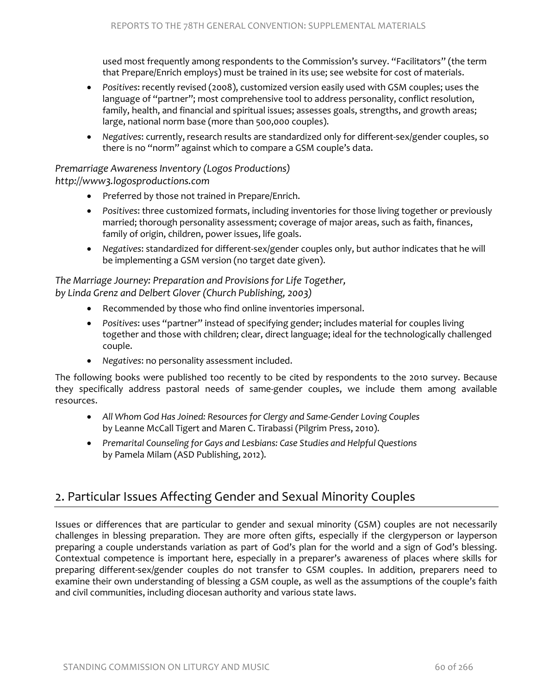used most frequently among respondents to the Commission's survey. "Facilitators" (the term that Prepare/Enrich employs) must be trained in its use; see website for cost of materials.

- *Positives*: recently revised (2008), customized version easily used with GSM couples; uses the language of "partner"; most comprehensive tool to address personality, conflict resolution, family, health, and financial and spiritual issues; assesses goals, strengths, and growth areas; large, national norm base (more than 500,000 couples).
- *Negatives*: currently, research results are standardized only for different-sex/gender couples, so there is no "norm" against which to compare a GSM couple's data.

#### *Premarriage Awareness Inventory (Logos Productions) [http://www3.logosproductions.com](http://www3.logosproductions.com/)*

- Preferred by those not trained in Prepare/Enrich.
- *Positives*: three customized formats, including inventories for those living together or previously married; thorough personality assessment; coverage of major areas, such as faith, finances, family of origin, children, power issues, life goals.
- *Negatives*: standardized for different-sex/gender couples only, but author indicates that he will be implementing a GSM version (no target date given).

#### *The Marriage Journey: Preparation and Provisions for Life Together, by Linda Grenz and Delbert Glover (Church Publishing, 2003)*

- Recommended by those who find online inventories impersonal.
- *Positives*: uses "partner" instead of specifying gender; includes material for couples living together and those with children; clear, direct language; ideal for the technologically challenged couple.
- *Negatives*: no personality assessment included.

The following books were published too recently to be cited by respondents to the 2010 survey. Because they specifically address pastoral needs of same-gender couples, we include them among available resources.

- *All Whom God Has Joined: Resources for Clergy and Same-Gender Loving Couples* by Leanne McCall Tigert and Maren C. Tirabassi (Pilgrim Press, 2010).
- *Premarital Counseling for Gays and Lesbians: Case Studies and Helpful Questions* by Pamela Milam (ASD Publishing, 2012).

## 2. Particular Issues Affecting Gender and Sexual Minority Couples

Issues or differences that are particular to gender and sexual minority (GSM) couples are not necessarily challenges in blessing preparation. They are more often gifts, especially if the clergyperson or layperson preparing a couple understands variation as part of God's plan for the world and a sign of God's blessing. Contextual competence is important here, especially in a preparer's awareness of places where skills for preparing different-sex/gender couples do not transfer to GSM couples. In addition, preparers need to examine their own understanding of blessing a GSM couple, as well as the assumptions of the couple's faith and civil communities, including diocesan authority and various state laws.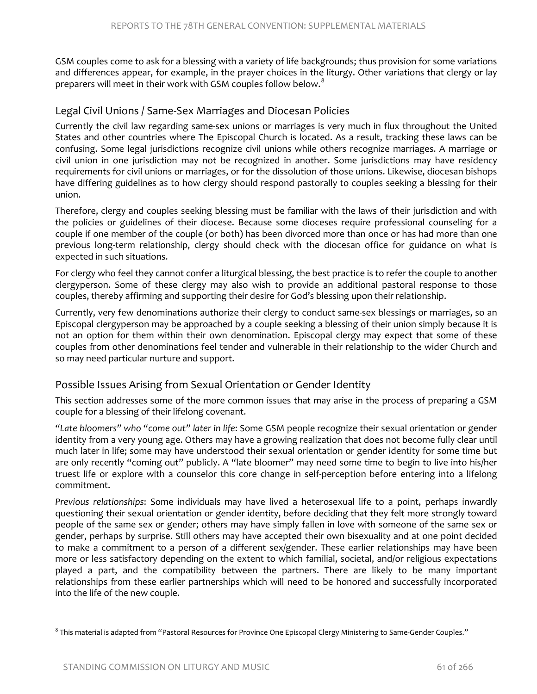GSM couples come to ask for a blessing with a variety of life backgrounds; thus provision for some variations and differences appear, for example, in the prayer choices in the liturgy. Other variations that clergy or lay preparers will meet in their work with GSM couples follow below. $^8$  $^8$ 

#### Legal Civil Unions / Same-Sex Marriages and Diocesan Policies

Currently the civil law regarding same-sex unions or marriages is very much in flux throughout the United States and other countries where The Episcopal Church is located. As a result, tracking these laws can be confusing. Some legal jurisdictions recognize civil unions while others recognize marriages. A marriage or civil union in one jurisdiction may not be recognized in another. Some jurisdictions may have residency requirements for civil unions or marriages, or for the dissolution of those unions. Likewise, diocesan bishops have differing guidelines as to how clergy should respond pastorally to couples seeking a blessing for their union.

Therefore, clergy and couples seeking blessing must be familiar with the laws of their jurisdiction and with the policies or guidelines of their diocese. Because some dioceses require professional counseling for a couple if one member of the couple (or both) has been divorced more than once or has had more than one previous long-term relationship, clergy should check with the diocesan office for guidance on what is expected in such situations.

For clergy who feel they cannot confer a liturgical blessing, the best practice is to refer the couple to another clergyperson. Some of these clergy may also wish to provide an additional pastoral response to those couples, thereby affirming and supporting their desire for God's blessing upon their relationship.

Currently, very few denominations authorize their clergy to conduct same-sex blessings or marriages, so an Episcopal clergyperson may be approached by a couple seeking a blessing of their union simply because it is not an option for them within their own denomination. Episcopal clergy may expect that some of these couples from other denominations feel tender and vulnerable in their relationship to the wider Church and so may need particular nurture and support.

#### Possible Issues Arising from Sexual Orientation or Gender Identity

This section addresses some of the more common issues that may arise in the process of preparing a GSM couple for a blessing of their lifelong covenant.

*"Late bloomers" who "come out" later in life*: Some GSM people recognize their sexual orientation or gender identity from a very young age. Others may have a growing realization that does not become fully clear until much later in life; some may have understood their sexual orientation or gender identity for some time but are only recently "coming out" publicly. A "late bloomer" may need some time to begin to live into his/her truest life or explore with a counselor this core change in self-perception before entering into a lifelong commitment.

*Previous relationships*: Some individuals may have lived a heterosexual life to a point, perhaps inwardly questioning their sexual orientation or gender identity, before deciding that they felt more strongly toward people of the same sex or gender; others may have simply fallen in love with someone of the same sex or gender, perhaps by surprise. Still others may have accepted their own bisexuality and at one point decided to make a commitment to a person of a different sex/gender. These earlier relationships may have been more or less satisfactory depending on the extent to which familial, societal, and/or religious expectations played a part, and the compatibility between the partners. There are likely to be many important relationships from these earlier partnerships which will need to be honored and successfully incorporated into the life of the new couple.

<span id="page-4-0"></span><sup>&</sup>lt;sup>8</sup> This material is adapted from "Pastoral Resources for Province One Episcopal Clergy Ministering to Same-Gender Couples."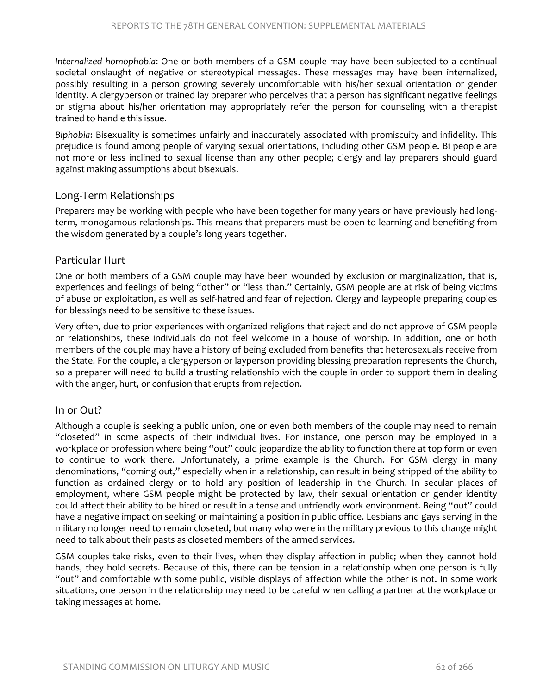*Internalized homophobia*: One or both members of a GSM couple may have been subjected to a continual societal onslaught of negative or stereotypical messages. These messages may have been internalized, possibly resulting in a person growing severely uncomfortable with his/her sexual orientation or gender identity. A clergyperson or trained lay preparer who perceives that a person has significant negative feelings or stigma about his/her orientation may appropriately refer the person for counseling with a therapist trained to handle this issue.

*Biphobia*: Bisexuality is sometimes unfairly and inaccurately associated with promiscuity and infidelity. This prejudice is found among people of varying sexual orientations, including other GSM people. Bi people are not more or less inclined to sexual license than any other people; clergy and lay preparers should guard against making assumptions about bisexuals.

#### Long-Term Relationships

Preparers may be working with people who have been together for many years or have previously had longterm, monogamous relationships. This means that preparers must be open to learning and benefiting from the wisdom generated by a couple's long years together.

#### Particular Hurt

One or both members of a GSM couple may have been wounded by exclusion or marginalization, that is, experiences and feelings of being "other" or "less than." Certainly, GSM people are at risk of being victims of abuse or exploitation, as well as self-hatred and fear of rejection. Clergy and laypeople preparing couples for blessings need to be sensitive to these issues.

Very often, due to prior experiences with organized religions that reject and do not approve of GSM people or relationships, these individuals do not feel welcome in a house of worship. In addition, one or both members of the couple may have a history of being excluded from benefits that heterosexuals receive from the State. For the couple, a clergyperson or layperson providing blessing preparation represents the Church, so a preparer will need to build a trusting relationship with the couple in order to support them in dealing with the anger, hurt, or confusion that erupts from rejection.

#### In or Out?

Although a couple is seeking a public union, one or even both members of the couple may need to remain "closeted" in some aspects of their individual lives. For instance, one person may be employed in a workplace or profession where being "out" could jeopardize the ability to function there at top form or even to continue to work there. Unfortunately, a prime example is the Church. For GSM clergy in many denominations, "coming out," especially when in a relationship, can result in being stripped of the ability to function as ordained clergy or to hold any position of leadership in the Church. In secular places of employment, where GSM people might be protected by law, their sexual orientation or gender identity could affect their ability to be hired or result in a tense and unfriendly work environment. Being "out" could have a negative impact on seeking or maintaining a position in public office. Lesbians and gays serving in the military no longer need to remain closeted, but many who were in the military previous to this change might need to talk about their pasts as closeted members of the armed services.

GSM couples take risks, even to their lives, when they display affection in public; when they cannot hold hands, they hold secrets. Because of this, there can be tension in a relationship when one person is fully "out" and comfortable with some public, visible displays of affection while the other is not. In some work situations, one person in the relationship may need to be careful when calling a partner at the workplace or taking messages at home.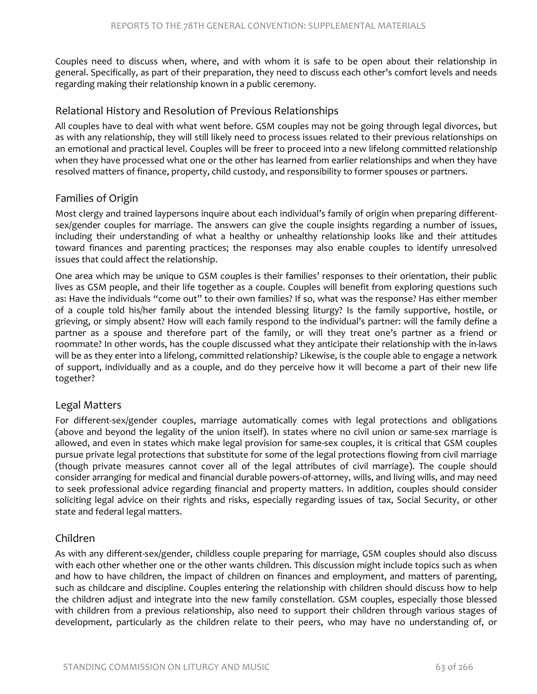Couples need to discuss when, where, and with whom it is safe to be open about their relationship in general. Specifically, as part of their preparation, they need to discuss each other's comfort levels and needs regarding making their relationship known in a public ceremony.

#### Relational History and Resolution of Previous Relationships

All couples have to deal with what went before. GSM couples may not be going through legal divorces, but as with any relationship, they will still likely need to process issues related to their previous relationships on an emotional and practical level. Couples will be freer to proceed into a new lifelong committed relationship when they have processed what one or the other has learned from earlier relationships and when they have resolved matters of finance, property, child custody, and responsibility to former spouses or partners.

#### Families of Origin

Most clergy and trained laypersons inquire about each individual's family of origin when preparing differentsex/gender couples for marriage. The answers can give the couple insights regarding a number of issues, including their understanding of what a healthy or unhealthy relationship looks like and their attitudes toward finances and parenting practices; the responses may also enable couples to identify unresolved issues that could affect the relationship.

One area which may be unique to GSM couples is their families' responses to their orientation, their public lives as GSM people, and their life together as a couple. Couples will benefit from exploring questions such as: Have the individuals "come out" to their own families? If so, what was the response? Has either member of a couple told his/her family about the intended blessing liturgy? Is the family supportive, hostile, or grieving, or simply absent? How will each family respond to the individual's partner: will the family define a partner as a spouse and therefore part of the family, or will they treat one's partner as a friend or roommate? In other words, has the couple discussed what they anticipate their relationship with the in-laws will be as they enter into a lifelong, committed relationship? Likewise, is the couple able to engage a network of support, individually and as a couple, and do they perceive how it will become a part of their new life together?

#### Legal Matters

For different-sex/gender couples, marriage automatically comes with legal protections and obligations (above and beyond the legality of the union itself). In states where no civil union or same-sex marriage is allowed, and even in states which make legal provision for same-sex couples, it is critical that GSM couples pursue private legal protections that substitute for some of the legal protections flowing from civil marriage (though private measures cannot cover all of the legal attributes of civil marriage). The couple should consider arranging for medical and financial durable powers-of-attorney, wills, and living wills, and may need to seek professional advice regarding financial and property matters. In addition, couples should consider soliciting legal advice on their rights and risks, especially regarding issues of tax, Social Security, or other state and federal legal matters.

#### Children

As with any different-sex/gender, childless couple preparing for marriage, GSM couples should also discuss with each other whether one or the other wants children. This discussion might include topics such as when and how to have children, the impact of children on finances and employment, and matters of parenting, such as childcare and discipline. Couples entering the relationship with children should discuss how to help the children adjust and integrate into the new family constellation. GSM couples, especially those blessed with children from a previous relationship, also need to support their children through various stages of development, particularly as the children relate to their peers, who may have no understanding of, or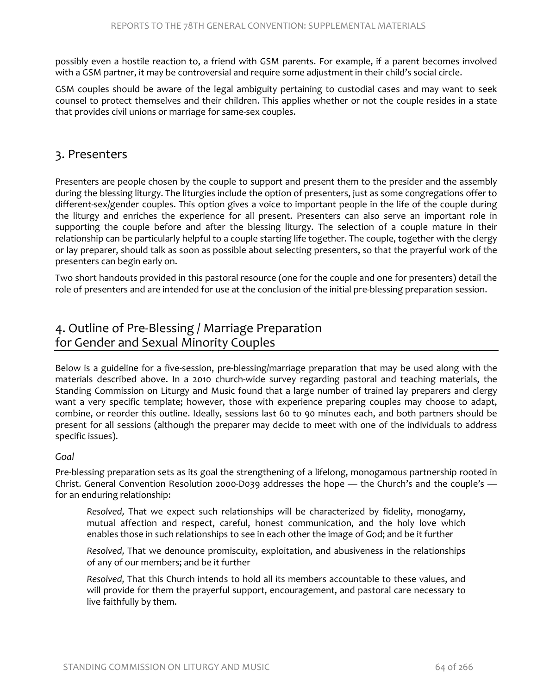possibly even a hostile reaction to, a friend with GSM parents. For example, if a parent becomes involved with a GSM partner, it may be controversial and require some adjustment in their child's social circle.

GSM couples should be aware of the legal ambiguity pertaining to custodial cases and may want to seek counsel to protect themselves and their children. This applies whether or not the couple resides in a state that provides civil unions or marriage for same-sex couples.

### 3. Presenters

Presenters are people chosen by the couple to support and present them to the presider and the assembly during the blessing liturgy. The liturgies include the option of presenters, just as some congregations offer to different-sex/gender couples. This option gives a voice to important people in the life of the couple during the liturgy and enriches the experience for all present. Presenters can also serve an important role in supporting the couple before and after the blessing liturgy. The selection of a couple mature in their relationship can be particularly helpful to a couple starting life together. The couple, together with the clergy or lay preparer, should talk as soon as possible about selecting presenters, so that the prayerful work of the presenters can begin early on.

Two short handouts provided in this pastoral resource (one for the couple and one for presenters) detail the role of presenters and are intended for use at the conclusion of the initial pre-blessing preparation session.

## 4. Outline of Pre-Blessing / Marriage Preparation for Gender and Sexual Minority Couples

Below is a guideline for a five-session, pre-blessing/marriage preparation that may be used along with the materials described above. In a 2010 church-wide survey regarding pastoral and teaching materials, the Standing Commission on Liturgy and Music found that a large number of trained lay preparers and clergy want a very specific template; however, those with experience preparing couples may choose to adapt, combine, or reorder this outline. Ideally, sessions last 60 to 90 minutes each, and both partners should be present for all sessions (although the preparer may decide to meet with one of the individuals to address specific issues).

#### *Goal*

Pre-blessing preparation sets as its goal the strengthening of a lifelong, monogamous partnership rooted in Christ. General Convention Resolution 2000-D039 addresses the hope — the Church's and the couple's for an enduring relationship:

*Resolved,* That we expect such relationships will be characterized by fidelity, monogamy, mutual affection and respect, careful, honest communication, and the holy love which enables those in such relationships to see in each other the image of God; and be it further

*Resolved,* That we denounce promiscuity, exploitation, and abusiveness in the relationships of any of our members; and be it further

*Resolved,* That this Church intends to hold all its members accountable to these values, and will provide for them the prayerful support, encouragement, and pastoral care necessary to live faithfully by them.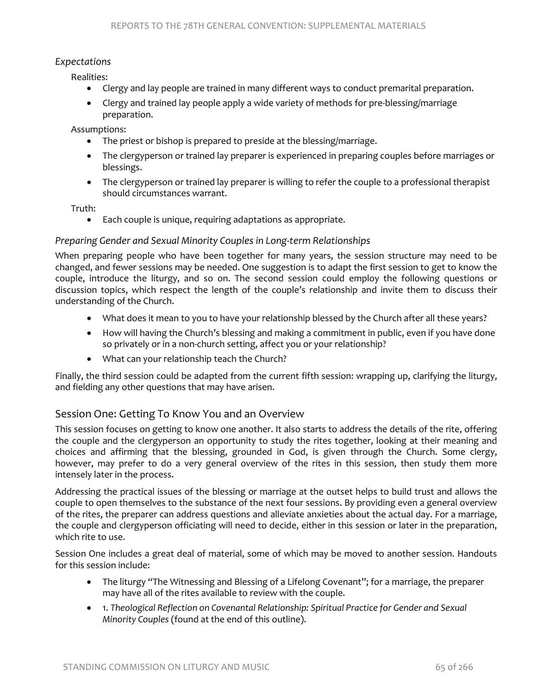#### *Expectations*

Realities:

- Clergy and lay people are trained in many different ways to conduct premarital preparation.
- Clergy and trained lay people apply a wide variety of methods for pre-blessing/marriage preparation.

Assumptions:

- The priest or bishop is prepared to preside at the blessing/marriage.
- The clergyperson or trained lay preparer is experienced in preparing couples before marriages or blessings.
- The clergyperson or trained lay preparer is willing to refer the couple to a professional therapist should circumstances warrant.

Truth:

• Each couple is unique, requiring adaptations as appropriate.

#### *Preparing Gender and Sexual Minority Couples in Long-term Relationships*

When preparing people who have been together for many years, the session structure may need to be changed, and fewer sessions may be needed. One suggestion is to adapt the first session to get to know the couple, introduce the liturgy, and so on. The second session could employ the following questions or discussion topics, which respect the length of the couple's relationship and invite them to discuss their understanding of the Church.

- What does it mean to you to have your relationship blessed by the Church after all these years?
- How will having the Church's blessing and making a commitment in public, even if you have done so privately or in a non-church setting, affect you or your relationship?
- What can your relationship teach the Church?

Finally, the third session could be adapted from the current fifth session: wrapping up, clarifying the liturgy, and fielding any other questions that may have arisen.

#### Session One: Getting To Know You and an Overview

This session focuses on getting to know one another. It also starts to address the details of the rite, offering the couple and the clergyperson an opportunity to study the rites together, looking at their meaning and choices and affirming that the blessing, grounded in God, is given through the Church. Some clergy, however, may prefer to do a very general overview of the rites in this session, then study them more intensely later in the process.

Addressing the practical issues of the blessing or marriage at the outset helps to build trust and allows the couple to open themselves to the substance of the next four sessions. By providing even a general overview of the rites, the preparer can address questions and alleviate anxieties about the actual day. For a marriage, the couple and clergyperson officiating will need to decide, either in this session or later in the preparation, which rite to use.

Session One includes a great deal of material, some of which may be moved to another session. Handouts for this session include:

- The liturgy "The Witnessing and Blessing of a Lifelong Covenant"; for a marriage, the preparer may have all of the rites available to review with the couple.
- 1. *Theological Reflection on Covenantal Relationship: Spiritual Practice for Gender and Sexual Minority Couples* (found at the end of this outline).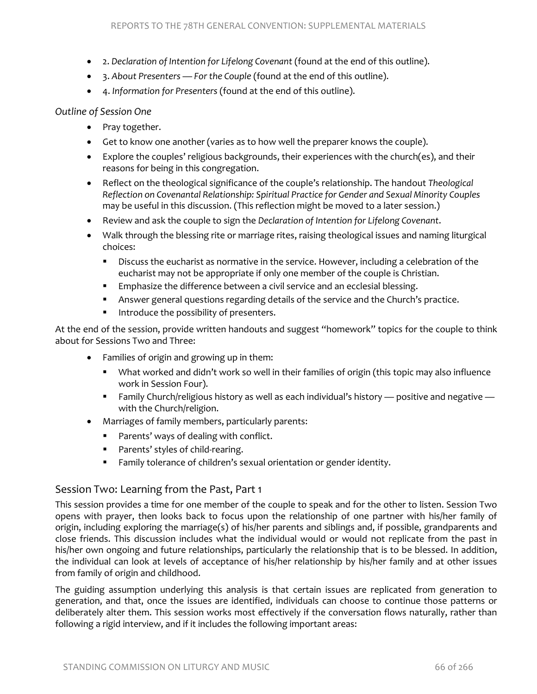- 2. *Declaration of Intention for Lifelong Covenant* (found at the end of this outline).
- 3. *About Presenters For the Couple* (found at the end of this outline).
- 4. *Information for Presenters* (found at the end of this outline).

#### *Outline of Session One*

- Pray together.
- Get to know one another (varies as to how well the preparer knows the couple).
- Explore the couples' religious backgrounds, their experiences with the church(es), and their reasons for being in this congregation.
- Reflect on the theological significance of the couple's relationship. The handout *Theological Reflection on Covenantal Relationship: Spiritual Practice for Gender and Sexual Minority Couples* may be useful in this discussion. (This reflection might be moved to a later session.)
- Review and ask the couple to sign the *Declaration of Intention for Lifelong Covenant*.
- Walk through the blessing rite or marriage rites, raising theological issues and naming liturgical choices:
	- **Discuss the eucharist as normative in the service. However, including a celebration of the** eucharist may not be appropriate if only one member of the couple is Christian.
	- **Emphasize the difference between a civil service and an ecclesial blessing.**
	- Answer general questions regarding details of the service and the Church's practice.
	- Introduce the possibility of presenters.

At the end of the session, provide written handouts and suggest "homework" topics for the couple to think about for Sessions Two and Three:

- Families of origin and growing up in them:
	- What worked and didn't work so well in their families of origin (this topic may also influence work in Session Four).
	- Family Church/religious history as well as each individual's history positive and negative with the Church/religion.
- Marriages of family members, particularly parents:
	- **Parents' ways of dealing with conflict.**
	- **Parents' styles of child-rearing.**
	- Family tolerance of children's sexual orientation or gender identity.

#### Session Two: Learning from the Past, Part 1

This session provides a time for one member of the couple to speak and for the other to listen. Session Two opens with prayer, then looks back to focus upon the relationship of one partner with his/her family of origin, including exploring the marriage(s) of his/her parents and siblings and, if possible, grandparents and close friends. This discussion includes what the individual would or would not replicate from the past in his/her own ongoing and future relationships, particularly the relationship that is to be blessed. In addition, the individual can look at levels of acceptance of his/her relationship by his/her family and at other issues from family of origin and childhood.

The guiding assumption underlying this analysis is that certain issues are replicated from generation to generation, and that, once the issues are identified, individuals can choose to continue those patterns or deliberately alter them. This session works most effectively if the conversation flows naturally, rather than following a rigid interview, and if it includes the following important areas: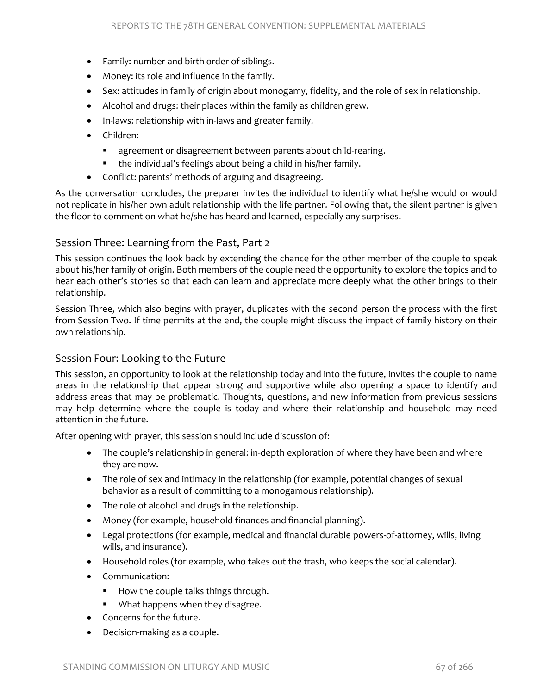- Family: number and birth order of siblings.
- Money: its role and influence in the family.
- Sex: attitudes in family of origin about monogamy, fidelity, and the role of sex in relationship.
- Alcohol and drugs: their places within the family as children grew.
- In-laws: relationship with in-laws and greater family.
- Children:
	- agreement or disagreement between parents about child-rearing.
	- the individual's feelings about being a child in his/her family.
- Conflict: parents' methods of arguing and disagreeing.

As the conversation concludes, the preparer invites the individual to identify what he/she would or would not replicate in his/her own adult relationship with the life partner. Following that, the silent partner is given the floor to comment on what he/she has heard and learned, especially any surprises.

#### Session Three: Learning from the Past, Part 2

This session continues the look back by extending the chance for the other member of the couple to speak about his/her family of origin. Both members of the couple need the opportunity to explore the topics and to hear each other's stories so that each can learn and appreciate more deeply what the other brings to their relationship.

Session Three, which also begins with prayer, duplicates with the second person the process with the first from Session Two. If time permits at the end, the couple might discuss the impact of family history on their own relationship.

#### Session Four: Looking to the Future

This session, an opportunity to look at the relationship today and into the future, invites the couple to name areas in the relationship that appear strong and supportive while also opening a space to identify and address areas that may be problematic. Thoughts, questions, and new information from previous sessions may help determine where the couple is today and where their relationship and household may need attention in the future.

After opening with prayer, this session should include discussion of:

- The couple's relationship in general: in-depth exploration of where they have been and where they are now.
- The role of sex and intimacy in the relationship (for example, potential changes of sexual behavior as a result of committing to a monogamous relationship).
- The role of alcohol and drugs in the relationship.
- Money (for example, household finances and financial planning).
- Legal protections (for example, medical and financial durable powers-of-attorney, wills, living wills, and insurance).
- Household roles (for example, who takes out the trash, who keeps the social calendar).
- Communication:
	- How the couple talks things through.
	- **What happens when they disagree.**
- Concerns for the future.
- Decision-making as a couple.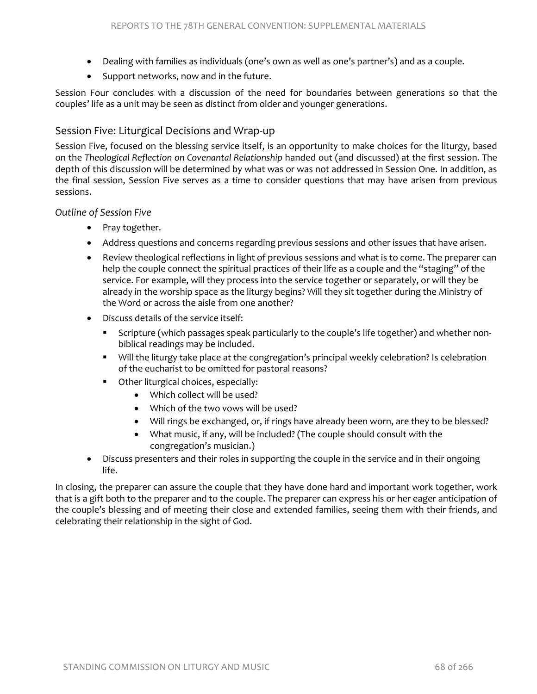- Dealing with families as individuals (one's own as well as one's partner's) and as a couple.
- Support networks, now and in the future.

Session Four concludes with a discussion of the need for boundaries between generations so that the couples' life as a unit may be seen as distinct from older and younger generations.

#### Session Five: Liturgical Decisions and Wrap-up

Session Five, focused on the blessing service itself, is an opportunity to make choices for the liturgy, based on the *Theological Reflection on Covenantal Relationship* handed out (and discussed) at the first session. The depth of this discussion will be determined by what was or was not addressed in Session One. In addition, as the final session, Session Five serves as a time to consider questions that may have arisen from previous sessions.

#### *Outline of Session Five*

- Pray together.
- Address questions and concerns regarding previous sessions and other issues that have arisen.
- Review theological reflections in light of previous sessions and what is to come. The preparer can help the couple connect the spiritual practices of their life as a couple and the "staging" of the service. For example, will they process into the service together or separately, or will they be already in the worship space as the liturgy begins? Will they sit together during the Ministry of the Word or across the aisle from one another?
- Discuss details of the service itself:
	- Scripture (which passages speak particularly to the couple's life together) and whether nonbiblical readings may be included.
	- Will the liturgy take place at the congregation's principal weekly celebration? Is celebration of the eucharist to be omitted for pastoral reasons?
	- Other liturgical choices, especially:
		- Which collect will be used?
		- Which of the two vows will be used?
		- Will rings be exchanged, or, if rings have already been worn, are they to be blessed?
		- What music, if any, will be included? (The couple should consult with the congregation's musician.)
- Discuss presenters and their roles in supporting the couple in the service and in their ongoing life.

In closing, the preparer can assure the couple that they have done hard and important work together, work that is a gift both to the preparer and to the couple. The preparer can express his or her eager anticipation of the couple's blessing and of meeting their close and extended families, seeing them with their friends, and celebrating their relationship in the sight of God.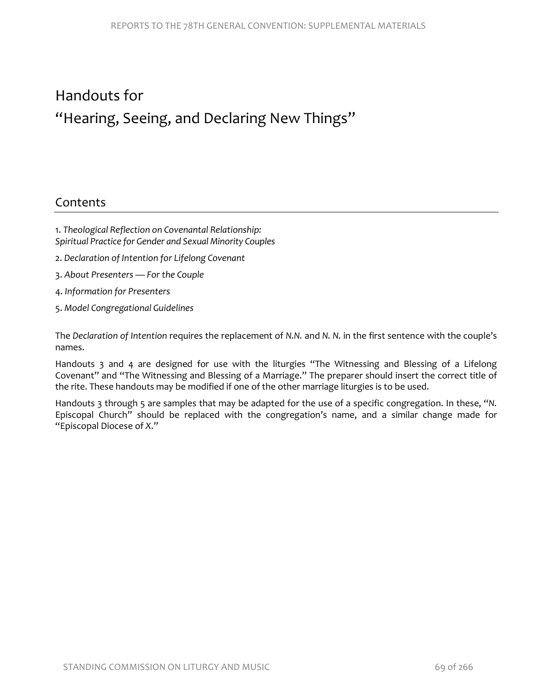# Handouts for "Hearing, Seeing, and Declaring New Things"

### **Contents**

- 1. *Theological Reflection on Covenantal Relationship: Spiritual Practice for Gender and Sexual Minority Couples*
- 2. *Declaration of Intention for Lifelong Covenant*
- 3. *About Presenters For the Couple*
- 4. *Information for Presenters*
- 5. *Model Congregational Guidelines*

The *Declaration of Intention* requires the replacement of *N.N.* and *N. N.* in the first sentence with the couple's names.

Handouts 3 and 4 are designed for use with the liturgies "The Witnessing and Blessing of a Lifelong Covenant" and "The Witnessing and Blessing of a Marriage." The preparer should insert the correct title of the rite. These handouts may be modified if one of the other marriage liturgies is to be used.

Handouts 3 through 5 are samples that may be adapted for the use of a specific congregation. In these, "*N.*  Episcopal Church" should be replaced with the congregation's name, and a similar change made for "Episcopal Diocese of *X*."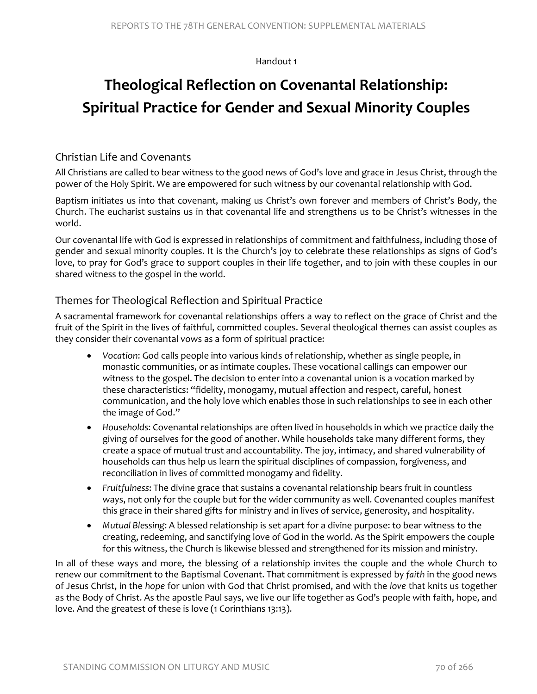#### Handout 1

# **Theological Reflection on Covenantal Relationship: Spiritual Practice for Gender and Sexual Minority Couples**

#### Christian Life and Covenants

All Christians are called to bear witness to the good news of God's love and grace in Jesus Christ, through the power of the Holy Spirit. We are empowered for such witness by our covenantal relationship with God.

Baptism initiates us into that covenant, making us Christ's own forever and members of Christ's Body, the Church. The eucharist sustains us in that covenantal life and strengthens us to be Christ's witnesses in the world.

Our covenantal life with God is expressed in relationships of commitment and faithfulness, including those of gender and sexual minority couples. It is the Church's joy to celebrate these relationships as signs of God's love, to pray for God's grace to support couples in their life together, and to join with these couples in our shared witness to the gospel in the world.

#### Themes for Theological Reflection and Spiritual Practice

A sacramental framework for covenantal relationships offers a way to reflect on the grace of Christ and the fruit of the Spirit in the lives of faithful, committed couples. Several theological themes can assist couples as they consider their covenantal vows as a form of spiritual practice:

- *Vocation*: God calls people into various kinds of relationship, whether as single people, in monastic communities, or as intimate couples. These vocational callings can empower our witness to the gospel. The decision to enter into a covenantal union is a vocation marked by these characteristics: "fidelity, monogamy, mutual affection and respect, careful, honest communication, and the holy love which enables those in such relationships to see in each other the image of God."
- *Households*: Covenantal relationships are often lived in households in which we practice daily the giving of ourselves for the good of another. While households take many different forms, they create a space of mutual trust and accountability. The joy, intimacy, and shared vulnerability of households can thus help us learn the spiritual disciplines of compassion, forgiveness, and reconciliation in lives of committed monogamy and fidelity.
- *Fruitfulness*: The divine grace that sustains a covenantal relationship bears fruit in countless ways, not only for the couple but for the wider community as well. Covenanted couples manifest this grace in their shared gifts for ministry and in lives of service, generosity, and hospitality.
- *Mutual Blessing*: A blessed relationship is set apart for a divine purpose: to bear witness to the creating, redeeming, and sanctifying love of God in the world. As the Spirit empowers the couple for this witness, the Church is likewise blessed and strengthened for its mission and ministry.

In all of these ways and more, the blessing of a relationship invites the couple and the whole Church to renew our commitment to the Baptismal Covenant. That commitment is expressed by *faith* in the good news of Jesus Christ, in the *hope* for union with God that Christ promised, and with the *love* that knits us together as the Body of Christ. As the apostle Paul says, we live our life together as God's people with faith, hope, and love. And the greatest of these is love (1 Corinthians 13:13).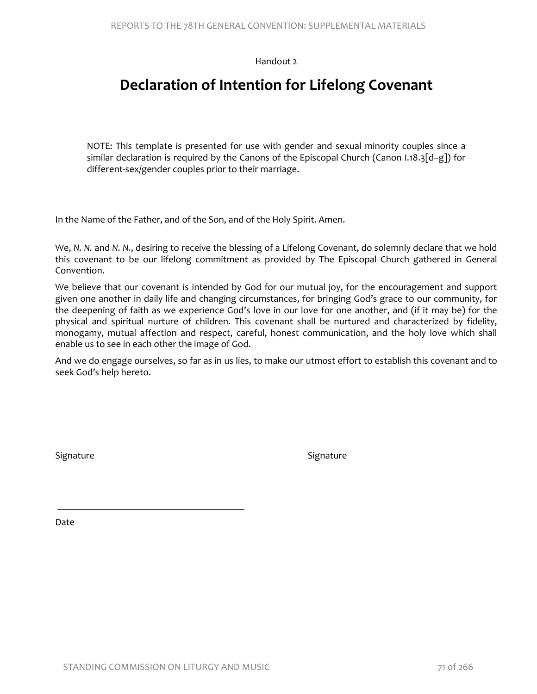Handout 2

# **Declaration of Intention for Lifelong Covenant**

NOTE: This template is presented for use with gender and sexual minority couples since a similar declaration is required by the Canons of the Episcopal Church (Canon I.18.3[d–g]) for different-sex/gender couples prior to their marriage.

In the Name of the Father, and of the Son, and of the Holy Spirit. Amen.

We, *N. N.* and *N. N.*, desiring to receive the blessing of a Lifelong Covenant, do solemnly declare that we hold this covenant to be our lifelong commitment as provided by The Episcopal Church gathered in General Convention.

We believe that our covenant is intended by God for our mutual joy, for the encouragement and support given one another in daily life and changing circumstances, for bringing God's grace to our community, for the deepening of faith as we experience God's love in our love for one another, and (if it may be) for the physical and spiritual nurture of children. This covenant shall be nurtured and characterized by fidelity, monogamy, mutual affection and respect, careful, honest communication, and the holy love which shall enable us to see in each other the image of God.

And we do engage ourselves, so far as in us lies, to make our utmost effort to establish this covenant and to seek God's help hereto.

Signature Signature Signature Signature Signature Signature Signature Signature Signature

 $\overline{\phantom{a}}$ 

Date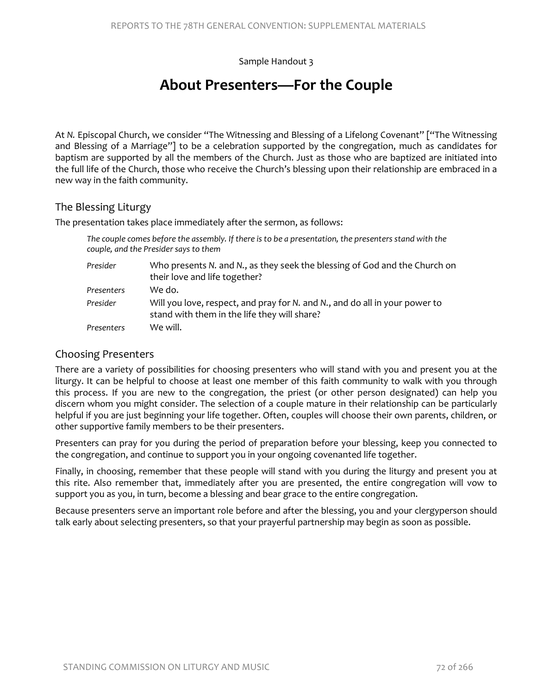Sample Handout 3

## **About Presenters—For the Couple**

At *N.* Episcopal Church, we consider "The Witnessing and Blessing of a Lifelong Covenant" ["The Witnessing and Blessing of a Marriage"] to be a celebration supported by the congregation, much as candidates for baptism are supported by all the members of the Church. Just as those who are baptized are initiated into the full life of the Church, those who receive the Church's blessing upon their relationship are embraced in a new way in the faith community.

#### The Blessing Liturgy

The presentation takes place immediately after the sermon, as follows:

| The couple comes before the assembly. If there is to be a presentation, the presenters stand with the<br>couple, and the Presider says to them |                                                                                                                             |  |
|------------------------------------------------------------------------------------------------------------------------------------------------|-----------------------------------------------------------------------------------------------------------------------------|--|
| Presider                                                                                                                                       | Who presents N. and N., as they seek the blessing of God and the Church on<br>their love and life together?                 |  |
| Presenters                                                                                                                                     | We do.                                                                                                                      |  |
| Presider                                                                                                                                       | Will you love, respect, and pray for N. and N., and do all in your power to<br>stand with them in the life they will share? |  |
| Presenters                                                                                                                                     | We will.                                                                                                                    |  |

#### Choosing Presenters

There are a variety of possibilities for choosing presenters who will stand with you and present you at the liturgy. It can be helpful to choose at least one member of this faith community to walk with you through this process. If you are new to the congregation, the priest (or other person designated) can help you discern whom you might consider. The selection of a couple mature in their relationship can be particularly helpful if you are just beginning your life together. Often, couples will choose their own parents, children, or other supportive family members to be their presenters.

Presenters can pray for you during the period of preparation before your blessing, keep you connected to the congregation, and continue to support you in your ongoing covenanted life together.

Finally, in choosing, remember that these people will stand with you during the liturgy and present you at this rite. Also remember that, immediately after you are presented, the entire congregation will vow to support you as you, in turn, become a blessing and bear grace to the entire congregation.

Because presenters serve an important role before and after the blessing, you and your clergyperson should talk early about selecting presenters, so that your prayerful partnership may begin as soon as possible.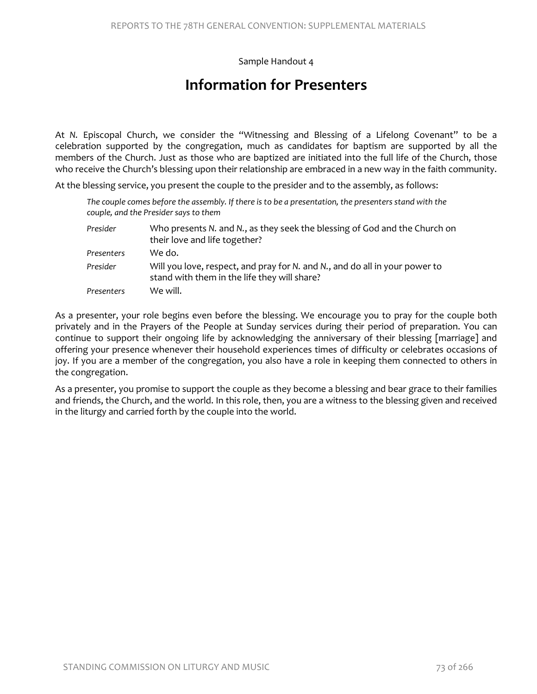Sample Handout 4

# **Information for Presenters**

At *N.* Episcopal Church, we consider the "Witnessing and Blessing of a Lifelong Covenant" to be a celebration supported by the congregation, much as candidates for baptism are supported by all the members of the Church. Just as those who are baptized are initiated into the full life of the Church, those who receive the Church's blessing upon their relationship are embraced in a new way in the faith community.

At the blessing service, you present the couple to the presider and to the assembly, as follows:

| The couple comes before the assembly. If there is to be a presentation, the presenters stand with the<br>couple, and the Presider says to them |                                                                                                                             |
|------------------------------------------------------------------------------------------------------------------------------------------------|-----------------------------------------------------------------------------------------------------------------------------|
| Presider                                                                                                                                       | Who presents N. and N., as they seek the blessing of God and the Church on<br>their love and life together?                 |
| Presenters                                                                                                                                     | We do.                                                                                                                      |
| Presider                                                                                                                                       | Will you love, respect, and pray for N. and N., and do all in your power to<br>stand with them in the life they will share? |
| Presenters                                                                                                                                     | We will.                                                                                                                    |

As a presenter, your role begins even before the blessing. We encourage you to pray for the couple both privately and in the Prayers of the People at Sunday services during their period of preparation. You can continue to support their ongoing life by acknowledging the anniversary of their blessing [marriage] and offering your presence whenever their household experiences times of difficulty or celebrates occasions of joy. If you are a member of the congregation, you also have a role in keeping them connected to others in the congregation.

As a presenter, you promise to support the couple as they become a blessing and bear grace to their families and friends, the Church, and the world. In this role, then, you are a witness to the blessing given and received in the liturgy and carried forth by the couple into the world.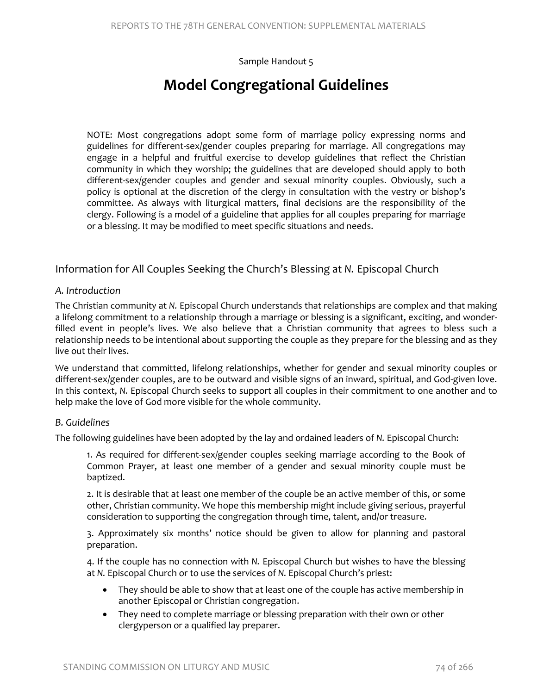#### Sample Handout 5

# **Model Congregational Guidelines**

NOTE: Most congregations adopt some form of marriage policy expressing norms and guidelines for different-sex/gender couples preparing for marriage. All congregations may engage in a helpful and fruitful exercise to develop guidelines that reflect the Christian community in which they worship; the guidelines that are developed should apply to both different-sex/gender couples and gender and sexual minority couples. Obviously, such a policy is optional at the discretion of the clergy in consultation with the vestry or bishop's committee. As always with liturgical matters, final decisions are the responsibility of the clergy. Following is a model of a guideline that applies for all couples preparing for marriage or a blessing. It may be modified to meet specific situations and needs.

#### Information for All Couples Seeking the Church's Blessing at *N.* Episcopal Church

#### *A. Introduction*

The Christian community at *N.* Episcopal Church understands that relationships are complex and that making a lifelong commitment to a relationship through a marriage or blessing is a significant, exciting, and wonderfilled event in people's lives. We also believe that a Christian community that agrees to bless such a relationship needs to be intentional about supporting the couple as they prepare for the blessing and as they live out their lives.

We understand that committed, lifelong relationships, whether for gender and sexual minority couples or different-sex/gender couples, are to be outward and visible signs of an inward, spiritual, and God-given love. In this context, *N.* Episcopal Church seeks to support all couples in their commitment to one another and to help make the love of God more visible for the whole community.

#### *B. Guidelines*

The following guidelines have been adopted by the lay and ordained leaders of *N.* Episcopal Church:

1. As required for different-sex/gender couples seeking marriage according to the Book of Common Prayer, at least one member of a gender and sexual minority couple must be baptized.

2. It is desirable that at least one member of the couple be an active member of this, or some other, Christian community. We hope this membership might include giving serious, prayerful consideration to supporting the congregation through time, talent, and/or treasure.

3. Approximately six months' notice should be given to allow for planning and pastoral preparation.

4. If the couple has no connection with *N.* Episcopal Church but wishes to have the blessing at *N.* Episcopal Church or to use the services of *N.* Episcopal Church's priest:

- They should be able to show that at least one of the couple has active membership in another Episcopal or Christian congregation.
- They need to complete marriage or blessing preparation with their own or other clergyperson or a qualified lay preparer.